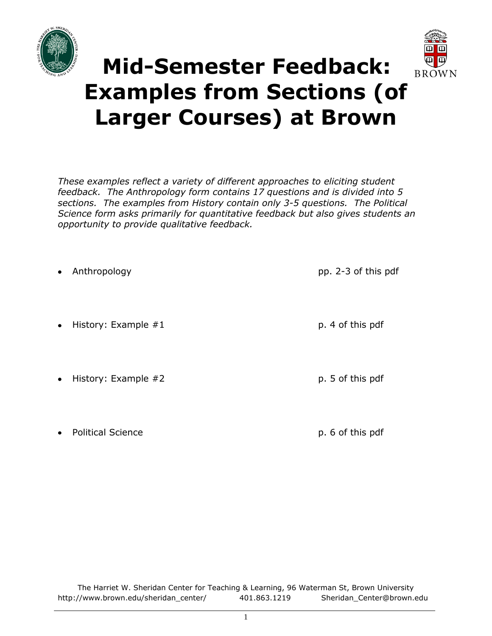



# **Mid-Semester Feedback: Examples from Sections (of Larger Courses) at Brown**

*These examples reflect a variety of different approaches to eliciting student feedback. The Anthropology form contains 17 questions and is divided into 5 sections. The examples from History contain only 3-5 questions. The Political Science form asks primarily for quantitative feedback but also gives students an opportunity to provide qualitative feedback.* 

Anthropology pp. 2-3 of this pdf History: Example #1 p. 4 of this pdf History: Example #2 p. 5 of this pdf

Political Science **p. 6 of this pdf**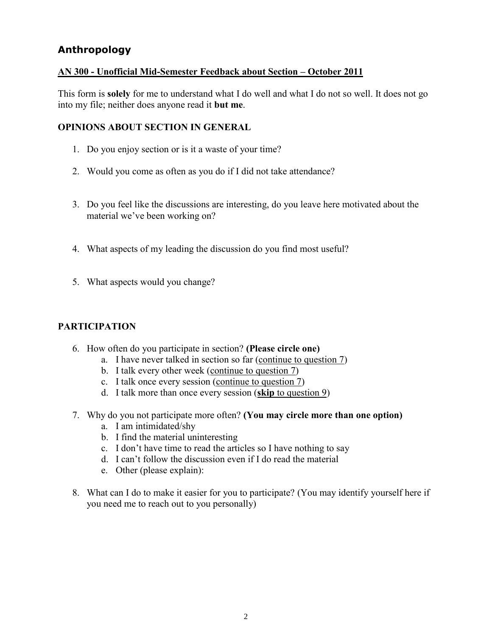## **Anthropology**

#### **AN 300 - Unofficial Mid-Semester Feedback about Section – October 2011**

This form is **solely** for me to understand what I do well and what I do not so well. It does not go into my file; neither does anyone read it **but me**.

#### **OPINIONS ABOUT SECTION IN GENERAL**

- 1. Do you enjoy section or is it a waste of your time?
- 2. Would you come as often as you do if I did not take attendance?
- 3. Do you feel like the discussions are interesting, do you leave here motivated about the material we've been working on?
- 4. What aspects of my leading the discussion do you find most useful?
- 5. What aspects would you change?

#### **PARTICIPATION**

- 6. How often do you participate in section? **(Please circle one)**
	- a. I have never talked in section so far (continue to question 7)
	- b. I talk every other week (continue to question 7)
	- c. I talk once every session (continue to question 7)
	- d. I talk more than once every session (**skip** to question 9)
- 7. Why do you not participate more often? **(You may circle more than one option)**
	- a. I am intimidated/shy
	- b. I find the material uninteresting
	- c. I don't have time to read the articles so I have nothing to say
	- d. I can't follow the discussion even if I do read the material
	- e. Other (please explain):
- 8. What can I do to make it easier for you to participate? (You may identify yourself here if you need me to reach out to you personally)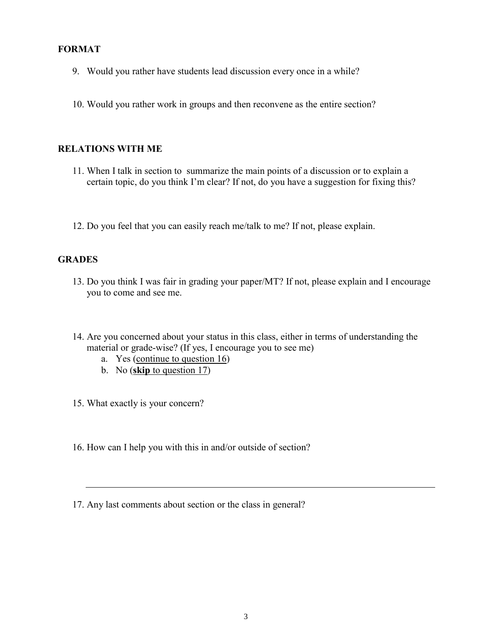#### **FORMAT**

- 9. Would you rather have students lead discussion every once in a while?
- 10. Would you rather work in groups and then reconvene as the entire section?

#### **RELATIONS WITH ME**

- 11. When I talk in section to summarize the main points of a discussion or to explain a certain topic, do you think I'm clear? If not, do you have a suggestion for fixing this?
- 12. Do you feel that you can easily reach me/talk to me? If not, please explain.

#### **GRADES**

- 13. Do you think I was fair in grading your paper/MT? If not, please explain and I encourage you to come and see me.
- 14. Are you concerned about your status in this class, either in terms of understanding the material or grade-wise? (If yes, I encourage you to see me)
	- a. Yes (continue to question 16)
	- b. No (**skip** to question 17)
- 15. What exactly is your concern?
- 16. How can I help you with this in and/or outside of section?
- 17. Any last comments about section or the class in general?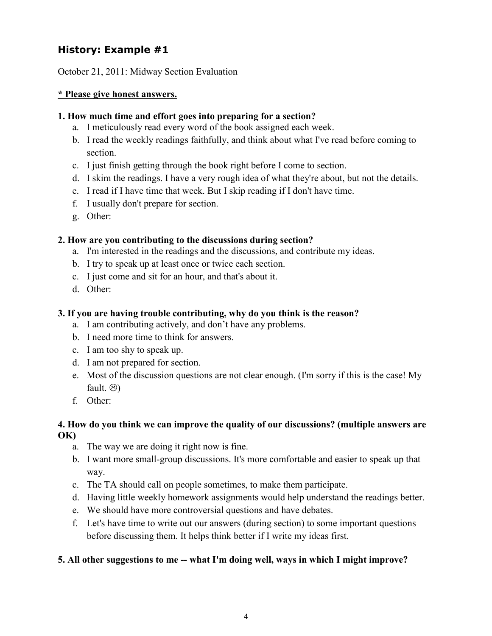# **History: Example #1**

October 21, 2011: Midway Section Evaluation

#### **\* Please give honest answers.**

#### **1. How much time and effort goes into preparing for a section?**

- a. I meticulously read every word of the book assigned each week.
- b. I read the weekly readings faithfully, and think about what I've read before coming to section.
- c. I just finish getting through the book right before I come to section.
- d. I skim the readings. I have a very rough idea of what they're about, but not the details.
- e. I read if I have time that week. But I skip reading if I don't have time.
- f. I usually don't prepare for section.
- g. Other:

#### **2. How are you contributing to the discussions during section?**

- a. I'm interested in the readings and the discussions, and contribute my ideas.
- b. I try to speak up at least once or twice each section.
- c. I just come and sit for an hour, and that's about it.
- d. Other:

### **3. If you are having trouble contributing, why do you think is the reason?**

- a. I am contributing actively, and don't have any problems.
- b. I need more time to think for answers.
- c. I am too shy to speak up.
- d. I am not prepared for section.
- e. Most of the discussion questions are not clear enough. (I'm sorry if this is the case! My fault.  $\circledS$
- f. Other:

#### **4. How do you think we can improve the quality of our discussions? (multiple answers are OK)**

- a. The way we are doing it right now is fine.
- b. I want more small-group discussions. It's more comfortable and easier to speak up that way.
- c. The TA should call on people sometimes, to make them participate.
- d. Having little weekly homework assignments would help understand the readings better.
- e. We should have more controversial questions and have debates.
- f. Let's have time to write out our answers (during section) to some important questions before discussing them. It helps think better if I write my ideas first.

## **5. All other suggestions to me -- what I'm doing well, ways in which I might improve?**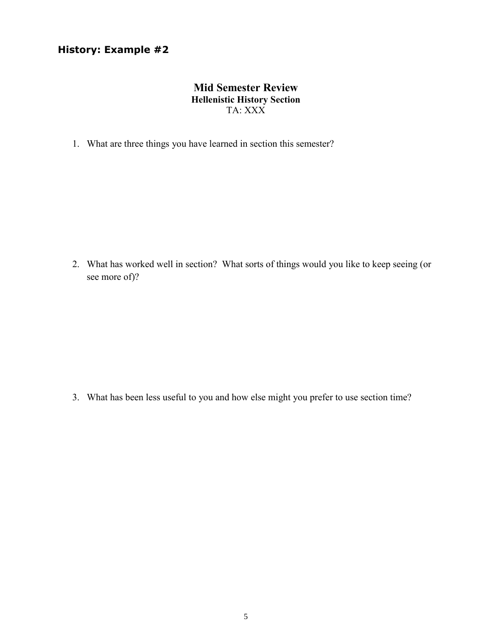## **History: Example #2**

## **Mid Semester Review Hellenistic History Section** TA: XXX

1. What are three things you have learned in section this semester?

2. What has worked well in section? What sorts of things would you like to keep seeing (or see more of)?

3. What has been less useful to you and how else might you prefer to use section time?